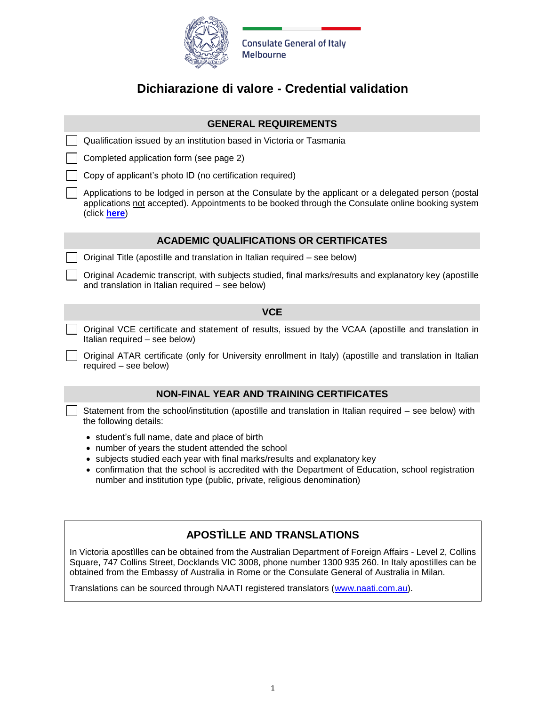

## **Dichiarazione di valore - Credential validation**

|                                                | <b>GENERAL REQUIREMENTS</b>                                                                                                                                                                                              |  |  |  |
|------------------------------------------------|--------------------------------------------------------------------------------------------------------------------------------------------------------------------------------------------------------------------------|--|--|--|
|                                                | Qualification issued by an institution based in Victoria or Tasmania                                                                                                                                                     |  |  |  |
|                                                | Completed application form (see page 2)                                                                                                                                                                                  |  |  |  |
|                                                | Copy of applicant's photo ID (no certification required)                                                                                                                                                                 |  |  |  |
|                                                | Applications to be lodged in person at the Consulate by the applicant or a delegated person (postal<br>applications not accepted). Appointments to be booked through the Consulate online booking system<br>(click here) |  |  |  |
| <b>ACADEMIC QUALIFICATIONS OR CERTIFICATES</b> |                                                                                                                                                                                                                          |  |  |  |
|                                                | Original Title (apostille and translation in Italian required – see below)                                                                                                                                               |  |  |  |
|                                                | Original Academic transcript, with subjects studied, final marks/results and explanatory key (apostille<br>and translation in Italian required - see below)                                                              |  |  |  |
|                                                | <b>VCE</b>                                                                                                                                                                                                               |  |  |  |
|                                                |                                                                                                                                                                                                                          |  |  |  |
|                                                | Original VCE certificate and statement of results, issued by the VCAA (apostille and translation in<br>Italian required - see below)                                                                                     |  |  |  |
|                                                | Original ATAR certificate (only for University enrollment in Italy) (apostille and translation in Italian<br>required - see below)                                                                                       |  |  |  |
|                                                | <b>NON-FINAL YEAR AND TRAINING CERTIFICATES</b>                                                                                                                                                                          |  |  |  |
|                                                | Statement from the school/institution (apostille and translation in Italian required – see below) with<br>the following details:                                                                                         |  |  |  |

## **APOSTÌLLE AND TRANSLATIONS**

In Victoria apostìlles can be obtained from the Australian Department of Foreign Affairs - Level 2, Collins Square, 747 Collins Street, Docklands VIC 3008, phone number 1300 935 260. In Italy apostìlles can be obtained from the Embassy of Australia in Rome or the Consulate General of Australia in Milan.

Translations can be sourced through NAATI registered translators [\(www.naati.com.au\)](http://www.naati.com.au/).